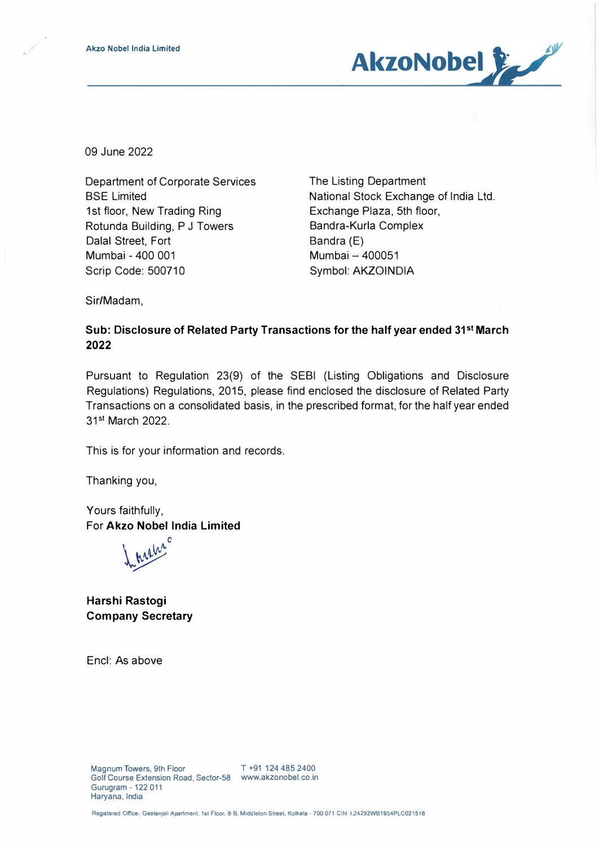

09 June 2022

Department of Corporate Services BSE Limited 1st floor, New Trading Ring Rotunda Building, P J Towers Dalal Street, Fort Mumbai - 400 001 Scrip Code: 500710

The Listing Department National Stock Exchange of India Ltd. Exchange Plaza, 5th floor, Bandra-Kurla Complex Bandra (E) Mumbai-400051 Symbol: **AKZOINDIA**

Sir/Madam,

## **Sub: Disclosure of Related Party Transactions for the half year ended 31 st March 2022**

Pursuant to Regulation 23(9) of the SEBI (listing Obligations and Disclosure Regulations) Regulations, 2015, please find enclosed the disclosure of Related Party Transactions on a consolidated basis, in the prescribed format, for the half year ended 31<sup>st</sup> March 2022.

This is for your information and records.

Thanking you,

Yours faithfully, For **Akzo Nobel India Limited** 

0 *Lengths* 

**Harshi Rastogi Company Secretary** 

Encl: As above

Registered Office: Geelanjali Apartment. 1st Floor. 8-B, Middlelon Street, Kolkata - 700 071 CIN L24292WB1954PLC021516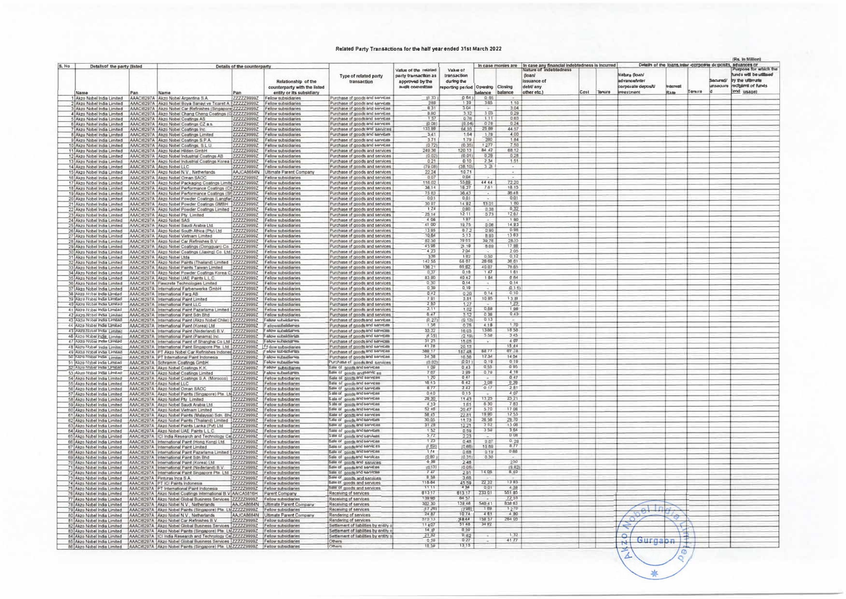## Related Party Transactions for the half year ended 31st March 2022

|       |                                                                                                                                      |     |                                                                                                                                                                                                                          |                             |                                                                      |                                                                  |                                              |                                  |               |                  |                                                                                             |      |        |                           |                                |        |                 | (Rs. in Million)                                                                     |
|-------|--------------------------------------------------------------------------------------------------------------------------------------|-----|--------------------------------------------------------------------------------------------------------------------------------------------------------------------------------------------------------------------------|-----------------------------|----------------------------------------------------------------------|------------------------------------------------------------------|----------------------------------------------|----------------------------------|---------------|------------------|---------------------------------------------------------------------------------------------|------|--------|---------------------------|--------------------------------|--------|-----------------|--------------------------------------------------------------------------------------|
| S. No | Details of the party (listed                                                                                                         |     |                                                                                                                                                                                                                          | Details of the counterparty |                                                                      |                                                                  |                                              | Value of                         |               |                  | In case monies are In case any financial indebtedness is incurred<br>Nature of Indebtedness |      |        |                           |                                |        |                 | Details of the loans, inter-corporate deposits, advances or<br>Purpose for which the |
|       |                                                                                                                                      |     |                                                                                                                                                                                                                          |                             |                                                                      |                                                                  | Value of the related<br>party transaction as | transaction                      |               |                  | (loan/                                                                                      |      |        | <b>Nabare Goah/</b>       |                                |        |                 | funds will be utilised                                                               |
|       |                                                                                                                                      |     |                                                                                                                                                                                                                          |                             | Relationship of the                                                  | Type of related party<br>transaction                             | approved by the                              | during the                       |               |                  | issuance of                                                                                 |      |        | advance/inter             |                                |        |                 | Secured/ by the ultimate                                                             |
|       |                                                                                                                                      |     |                                                                                                                                                                                                                          |                             | counterparty with the listed                                         |                                                                  | audit committee                              | reporting period Opening Closing |               |                  | debt/ any                                                                                   |      |        | <b>Vicoreb efatograph</b> | <b><i><u>Microsoft</u></i></b> |        | <b>SURGERIN</b> | recipiers of funds                                                                   |
|       | Name                                                                                                                                 | Pan | Name                                                                                                                                                                                                                     |                             | entity or its subsidiary                                             |                                                                  |                                              |                                  | aslance       | balance          | other etc.)                                                                                 | Cost | Tenure | <b>Investment</b>         | Ram.                           | Temire |                 | (end_usage)                                                                          |
|       | Akzo Nobel India Limited AAACI6297A Akzo Nobel Argentina S.A.                                                                        |     |                                                                                                                                                                                                                          |                             | ZZZZZ9999Z Fellow subsidiaries                                       | Purchase of goods and services                                   | (1, 33)                                      | (0.64)                           | 0.95          |                  |                                                                                             |      |        |                           |                                |        |                 |                                                                                      |
|       |                                                                                                                                      |     | Akzo Nobel India Limited AAACI6297A Akzo Nobel Boya Sanayi ve Ticaret A 22222299992 Fellow subsidiaries                                                                                                                  |                             |                                                                      | Purchase of goods and sarvices                                   | 2.88                                         | 139                              | 3.65          |                  |                                                                                             |      |        |                           |                                |        |                 |                                                                                      |
|       |                                                                                                                                      |     | 3 Akza Nobel India Limited AAAC16297A Akza Nobel Car Refinishes (Singapore 2222299992 Fellow subsidiaries                                                                                                                |                             |                                                                      | Purchase of goods and services                                   | 6.31                                         | 3.04                             |               | 3.04             |                                                                                             |      |        |                           |                                |        |                 |                                                                                      |
|       |                                                                                                                                      |     | 4 Akzn Nobel India Limited AAACI6297A Akzn Nobel Chang Cheng Coatings (C 2222299992 Fellow subsidiaries                                                                                                                  |                             |                                                                      | Purchase of goods and services                                   | 8.90                                         | $rac{3.32}{0.76}$                | 303<br>1.11   | 0.29<br>0.63     |                                                                                             |      |        |                           |                                |        |                 |                                                                                      |
|       | Akzo Nobel India Limited AAACI6297A Akzo Nobel Coatings AS                                                                           |     | Akzo Nobel india Limited AAACI6297A Akzo Nobel Coatings CZ a s.                                                                                                                                                          |                             | 2222299992 Fellow subsidiaries<br>ZZZZZ9999Z Fellow subsidiaries     | Purchase of goods and services<br>Purchase of goods and services | 1.57<br>(0.08)                               | (0.04)                           | $GZ\$         | 0.24             |                                                                                             |      |        |                           |                                |        |                 |                                                                                      |
|       | Akzo Nobel India Limited AAACI6297A Akzo Nobel Coatings Inc.                                                                         |     |                                                                                                                                                                                                                          |                             | 777779999Z Fellow subsidiaries                                       | Purchase of goods and services                                   | 133.80                                       | 64.55                            | 25.88         | 44.57            |                                                                                             |      |        |                           |                                |        |                 |                                                                                      |
|       |                                                                                                                                      |     | B Akzo Nobel India Limited AAACI5297A Akzo Nobel Coatings Limited                                                                                                                                                        |                             | 7777299992 Fellow subsidiaries                                       | Purchase of goods and sarveas                                    | 3.41                                         | 1.64                             | 178           | 4.00             |                                                                                             |      |        |                           |                                |        |                 |                                                                                      |
|       |                                                                                                                                      |     | 9 Akzo Nobel India Limited AAACI6297A Akzo Nobel Coatings S.P.A.                                                                                                                                                         |                             | ZZZZZ9999Z   Fellow subsidiaries                                     | Purchase of goods and sarvices.                                  | 3.71                                         | 1.79                             | 2.80          | 1.84             |                                                                                             |      |        |                           |                                |        |                 |                                                                                      |
|       |                                                                                                                                      |     | 10 Akzo Nobel India Limited AAACI6297A Akzo Nobel Coatings, S.L.U.                                                                                                                                                       |                             | 2222299992 Fellow subsidiaries                                       | Purchase of goods and services                                   | (0.72)                                       | (0.35)                           | 1277          | 7.50             |                                                                                             |      |        |                           |                                |        |                 |                                                                                      |
|       | 11 Akzo Nobel India Limited AAACI6297A Akzo Nobel Hilden GmbH                                                                        |     |                                                                                                                                                                                                                          |                             | ZZZZZ9999Z Fellow subsidiaries                                       | Purchase of goods and services                                   | 249.36                                       | 120.13                           | 84.42         | 68.12            |                                                                                             |      |        |                           |                                |        |                 |                                                                                      |
|       |                                                                                                                                      |     | 12 Akzo Nobel India Limited AAACI6297A Akzo Nobel Industrial Coatings AB                                                                                                                                                 |                             | 222229990Z Fellow subsidiaries                                       | Purchase of goods and services                                   | 10.02                                        | (0.01)                           | 0.21          | $0.28$<br>1.51   |                                                                                             |      |        |                           |                                |        |                 |                                                                                      |
|       |                                                                                                                                      |     | 13 Akzo Nobel India Limited AAAC/6297A Akzo Nobel Industrial Coatings Korea (2222299992 Fellow subsidiaries                                                                                                              |                             |                                                                      | Purchase of goods and services                                   | 0.21                                         | 0.10                             | 234           |                  |                                                                                             |      |        |                           |                                |        |                 |                                                                                      |
|       | 14 Akzo Nobel India Limited AAACI6297A Akzo Nobel LLC                                                                                |     | 15 Akzo Nobel India Limited AAAC16297A Akzo Nobel N.V., Netherlands                                                                                                                                                      |                             | ZZZZZ9999Z Fellow subsidiaries<br>AAJCA8684N Ultimate Parent Company | Purchase of goods and services                                   | (79.08)<br>22.24                             | (38.10)<br>10.71                 | 3.21          |                  |                                                                                             |      |        |                           |                                |        |                 |                                                                                      |
|       | 16 Akzo Nobel India Limited AAAC#297A Akzo Nobel Oman SAOC                                                                           |     |                                                                                                                                                                                                                          |                             | 7777799997 Fellow subsidiaries                                       | Purchase of goods and services<br>Purchase of goods and services | 0.07                                         | 0.04                             |               |                  |                                                                                             |      |        |                           |                                |        |                 |                                                                                      |
|       |                                                                                                                                      |     | 17 Akzo Nobel India Limited AAAC#5297A Akzo Nobel Packaging Coatings Limite 7727799992 Fellow subsidiaries                                                                                                               |                             |                                                                      | Purchase of goods and services                                   | 118.02                                       | 55.89                            | 44 44         | 72.20            |                                                                                             |      |        |                           |                                |        |                 |                                                                                      |
|       | 18 Akzo Nobel India Limited                                                                                                          |     | AAACI6297A Akzo Nobel Performance Coatings (CI ZZZZZ9999Z                                                                                                                                                                |                             | Fellow subsidiaries                                                  | Purchase of goods and services                                   | 38.14                                        | 18.37                            | 7.81          | 18.15            |                                                                                             |      |        |                           |                                |        |                 |                                                                                      |
|       |                                                                                                                                      |     | 19 Akze Nobel India Limited AAAC/6297A Akzo Nobel Performance Coatings (SHZZZZZ9999Z Fellow subsidiaries                                                                                                                 |                             |                                                                      | Purchase of goods and services                                   | 75 83                                        | S6.43                            |               | 36.48            |                                                                                             |      |        |                           |                                |        |                 |                                                                                      |
|       |                                                                                                                                      |     | 20 Akzo Nobel India Limited AAACI6297A Akzo Nobel Powder Coatings (Langfar ZZZZZ39992 Fellow subsidiaries                                                                                                                |                             |                                                                      | Purchase of goods and services                                   | 001                                          | 0.01                             |               | 0.01             |                                                                                             |      |        |                           |                                |        |                 |                                                                                      |
|       |                                                                                                                                      |     |                                                                                                                                                                                                                          |                             |                                                                      | Purchase of goods and services                                   | 3097                                         | 1492                             | 13.01         | 1.80             |                                                                                             |      |        |                           |                                |        |                 |                                                                                      |
|       |                                                                                                                                      |     | 22 Akzo Nobel India Limited AAACIS297A Akzo Nobel Powder Coatings Limited 2222299992 Fellow subsidiaries                                                                                                                 |                             |                                                                      | Purchase of goods and services                                   | 1,24                                         | 0.00                             | 器             | 0.37             |                                                                                             |      |        |                           |                                |        |                 |                                                                                      |
|       | 23 Akza Nobel India Limited AAAC#297A Akzo Nobel Pty. Limited<br>24 Akzo Nobel India Limited AAACI6297A Akzo Nobel SAS               |     |                                                                                                                                                                                                                          | 1111199991                  | Fellow subsidiaries<br>ZZZZZ9999Z Fellow subsidiaries                | Purchase of goods and services<br>Purchase of goods and services | 25 14<br>4.06                                | 12.11<br>1.97                    |               | 1267<br>1.00     |                                                                                             |      |        |                           |                                |        |                 |                                                                                      |
|       |                                                                                                                                      |     | 25 Akzo Nobel India Limited AAACI6297A Akzo Nobel Saudi Arabia Ltd.                                                                                                                                                      |                             | ZZZZZ9999Z Fellow subsidiaries                                       | Purchase of goods and services                                   | 41.00                                        | 1975                             | 0.08          | 14.93            |                                                                                             |      |        |                           |                                |        |                 |                                                                                      |
|       |                                                                                                                                      |     | 26 Akzo Nobel India Limited   AAACI6297A Akzo Nobel South Africa (Pty) Ltd                                                                                                                                               |                             | 2222299992 Fellow subsidiaries                                       | Purchase of goods and services                                   | 13.95                                        | 0.72                             | 0.90          | 0.98             |                                                                                             |      |        |                           |                                |        |                 |                                                                                      |
|       |                                                                                                                                      |     | 27 Akzo Nobel India Limited AAAC#297A Akzo Nobel Vietnam Limited                                                                                                                                                         |                             | 7777Z9999Z Fellow subsidiaries                                       | Purchase of goods and services                                   | 10.64                                        | 513                              | <b>B.93</b>   | 1363             |                                                                                             |      |        |                           |                                |        |                 |                                                                                      |
|       |                                                                                                                                      |     | 28 Akzo Nobel India Limited AAAC/6297A Akzo Nobel Car Refinishes B.V                                                                                                                                                     | 2222299992                  | Fellow subsidiaries                                                  | Purchase of goods and services                                   | 82.30                                        | 39 85                            | 39,76         | 28.35            |                                                                                             |      |        |                           |                                |        |                 |                                                                                      |
|       |                                                                                                                                      |     | 29 Akzo Nobel India Limited AAAC/8297A Akzo Nobel Coatings (Dongguan) Co.                                                                                                                                                |                             | ZZZZZ9999Z Fellow subsidiaries                                       | Purchase of goods and services                                   | 43.98                                        | 21.19                            | 6.69          | 17.00            |                                                                                             |      |        |                           |                                |        |                 |                                                                                      |
|       |                                                                                                                                      |     | 30 Akza Nobel India Limited   AAACi6297A   Akza Nobel Coatings (Jiaxing) Co. Ltd. ZZZZZ9999Z   Fellow subsidiaries                                                                                                       |                             |                                                                      | Purchase of goods and services                                   | 4.23<br>3.36                                 | 204<br>1.52                      | 0.50          | 2.05<br>0.12     |                                                                                             |      |        |                           |                                |        |                 |                                                                                      |
|       | 31 Akzo Nobel India Limited AAACI6297A Akzo Nobel Ltda                                                                               |     | 32 Akzo Nobel India Limited AAACI6297A Akzo Nobel Paints (Thailand) Limited                                                                                                                                              |                             | 2222299992 Fellow subsidiaries<br>ZZZZZ99932 Fellow subsidiaries     | Purchase of goods and services<br>Purchase of goods and services | 142.55                                       | 68.67                            | 26 68         | 36.61            |                                                                                             |      |        |                           |                                |        |                 |                                                                                      |
|       |                                                                                                                                      |     | 33 Akzo Nobel India Limited AAACI6297A Akzo Nobel Paints Taiwan Limited                                                                                                                                                  |                             | ZZZZZ9999Z Fellow subsidiaries                                       | Purchase of goods and services                                   | 138.21                                       | 65 BZ                            | 40.07         | 76.65            |                                                                                             |      |        |                           |                                |        |                 |                                                                                      |
|       |                                                                                                                                      |     | 34 Akzo Nobel India Limited AAACI6297A Akzo Nobel Powder Coatings Korea C ZZZZZ9999Z Fellow subsidiaries                                                                                                                 |                             |                                                                      | Purchase of goods and services                                   | 0.37                                         | 0.18                             | 1.47          | 161              |                                                                                             |      |        |                           |                                |        |                 |                                                                                      |
|       |                                                                                                                                      |     | 35 Akzo Nobel India Limited AAACI6297A Akzo Nobel UAE Paints L.L.C.                                                                                                                                                      |                             | ZZZZZ9999Z   Fellow subsidiaries                                     | Purchase of goods and services                                   | 83.90                                        | 40.42                            | 184           | 0.04             |                                                                                             |      |        |                           |                                |        |                 |                                                                                      |
|       |                                                                                                                                      |     | 36 Akzo Nobel India Limited AAACI6297A Flexcrete Technologies Limited                                                                                                                                                    |                             | ZZZZZ9999Z Fellow subsidiaries                                       | Purchase of goods and services                                   | 0.30                                         | 0.14                             |               | 0.14             |                                                                                             |      |        |                           |                                |        |                 |                                                                                      |
|       |                                                                                                                                      |     | 37 Akzo Nobel India Limited AAACI6297A International Farbenwerke GmbH                                                                                                                                                    |                             | ZZZZZ9999Z Fellow subsidiaries                                       | Purchase of goods and services                                   | 0.30                                         | $0.19$<br>$0.20$                 |               | 0.15             |                                                                                             |      |        |                           |                                |        |                 |                                                                                      |
|       | 38 Algo Nobel India Limited                                                                                                          |     | AAAC/6297A International Farg AB                                                                                                                                                                                         |                             | ZZZZZ9999Z Fellow subsidiaries                                       | Purchase of goods and services                                   | 0.42                                         |                                  | 0.14          | 0.30             |                                                                                             |      |        |                           |                                |        |                 |                                                                                      |
|       | 39 Alczo Nabel India Limited AAACH297A International Paint Limited<br>40 Alcon Nobel India Umited AAACI5297A International Paint LLC |     |                                                                                                                                                                                                                          |                             | ZZZZZ0999Z Fellow subsidiaries                                       | Purchase of goods and services                                   | 7.91                                         | 3.51<br>1,27                     | 10 95         | 13.81<br>1, 23   |                                                                                             |      |        |                           |                                |        |                 |                                                                                      |
|       |                                                                                                                                      |     | 41 Algre Nobel India Umited AAACI6297A International Paint Pazarlama Limited \$2222229992. Fellow subsidiaries                                                                                                           |                             | 777779999Z Fellow subsidiaries                                       | Purchase of goods and services<br>Purchase of goods and services | $\frac{2.63}{2.11}$                          | 1.02                             | 0.88          | 1.98             |                                                                                             |      |        |                           |                                |        |                 |                                                                                      |
|       |                                                                                                                                      |     | 42 Alco Nobel India Limited AAACI6297A International Paint Sdn Bhd                                                                                                                                                       |                             | ZZZZZ9999Z Fellow subsidiaries                                       | Purchase of goods and services                                   | 6.47                                         | 312                              | 0.30          | 0.45             |                                                                                             |      |        |                           |                                |        |                 |                                                                                      |
|       | 43 Alco Nobel India Limited                                                                                                          |     | AAAC16297A International Paint (Akzo Nobel Chile) (ZZZZZ9999Z                                                                                                                                                            |                             | Felipe subsidiaries                                                  | Purchase of goods and services                                   | (0, 27)                                      | (0.13)                           | 0.13          |                  |                                                                                             |      |        |                           |                                |        |                 |                                                                                      |
|       |                                                                                                                                      |     | 44 Akza Nobel India Limited AAACI6297A International Paint (Korea) Ltd                                                                                                                                                   |                             | 2222299992 Fallow subsidiaryes                                       | Purchase of goods and sarvices                                   | 150                                          | 0.75                             | 4.18          | 170              |                                                                                             |      |        |                           |                                |        |                 |                                                                                      |
|       |                                                                                                                                      |     | 45 Alizo Nobel India Limited AAACI6297A International Paint (Nederland) B.V.                                                                                                                                             |                             | 2222299992 Felow subsidiarys                                         | Purchase of goods and services                                   | 35 32<br>4 55)                               | 16.05                            | 1386          | 18.38            |                                                                                             |      |        |                           |                                |        |                 |                                                                                      |
|       | 46 Alcro Nobel India Limited                                                                                                         |     | AAACI6297A International Paint (Panama) Inc.                                                                                                                                                                             |                             | 222229992 Felow subsidiaries                                         | Purchase of goods and sarvices                                   |                                              | $\frac{(2.19)}{15.05}$           | 5.50<br>- 67  | 345<br>4.07      |                                                                                             |      |        |                           |                                |        |                 |                                                                                      |
|       | 47 Alco Nobel Indie Limited<br>48 Alcro Nobel India Limited                                                                          |     | AAACi8297A International Paint of Shanghai Co Ltd ZZZZZ9999Z Fellow subsidiar<br>AAACI6297A International Paint Singapore Pte. Ltd. ZZZZZ9999Z Fellow subsidiaries                                                       |                             |                                                                      | Purchase of goods and services<br>Purchase of goods and sarvices | 31 25<br>4178                                | 20:13                            |               | 15.44            |                                                                                             |      |        |                           |                                |        |                 |                                                                                      |
|       |                                                                                                                                      |     | 49 Alco Nobel India Limited AAACI8297A PT Akzo Nobel Car Refinishes Indone 2222229992. [Fellow Mid-Indian ist                                                                                                            |                             |                                                                      | Purchase of goods and services                                   | 389.17                                       | 187.48                           | 68.77         | 87 28            |                                                                                             |      |        |                           |                                |        |                 |                                                                                      |
|       |                                                                                                                                      |     | 50 Alcro Nobel India Limited AAAC8297A PT International Paint Indonesia                                                                                                                                                  |                             | 2222299992 Fellow multastier km                                      | Purchase of goods and services                                   | 34 38                                        | 18.50                            | 17.34         | 14.04            |                                                                                             |      |        |                           |                                |        |                 |                                                                                      |
|       | 51 Alizo Nobel India Limited AAACH5297A Schramm Coatings GmbH                                                                        |     |                                                                                                                                                                                                                          |                             | ZZZZZ9999Z Felow subsidiaries                                        | Purchase of goods and services                                   | 10.02                                        | 0.01                             | 0.19          | 0.19             |                                                                                             |      |        |                           |                                |        |                 |                                                                                      |
|       | 52 Alcro Nobel India Umited AAAC85297A Akzi Nobel Coatings K.K.                                                                      |     |                                                                                                                                                                                                                          |                             | 7777299992 Felow subsidiaries                                        | <b>Sale of goods and services</b>                                | 1.09                                         | 0.43                             | 0.55          | 0.95             |                                                                                             |      |        |                           |                                |        |                 |                                                                                      |
|       |                                                                                                                                      |     | 53 Alico Nabel India Limited AAAC16297A Akzo Nobel Coatings Limited                                                                                                                                                      | 2222299992                  | Felow subsidiaries                                                   | Sale of goods and services                                       | 757                                          | 2.99                             | 0.70          | 4.18             |                                                                                             |      |        |                           |                                |        |                 |                                                                                      |
|       | 55 Akzo Nobel India Limited AAACI6297A Akzo Nobel LLC                                                                                |     | 54 Akzo Nobel India Limited AAACHI297A Akzo Nobel Coatings S.A. (Morocco)                                                                                                                                                |                             | ZZZZZ9999Z Felow subsidiaries<br>7222299992 Fellow subsidiaries      | Sale of grinds and services<br>Bale of grmtb and services        | 1.20<br>16 45                                | 0.47<br>6.42                     | 3.00          | 0.47<br>0.39     |                                                                                             |      |        |                           |                                |        |                 |                                                                                      |
|       | 56 Akzo Nobel India Limited AAAC16297A Akzo Nobel Oman SAOC                                                                          |     |                                                                                                                                                                                                                          |                             | ZZZZZ9999Z Fellow subsidiaries                                       | Sale of grads and sarvices.                                      | 8.77                                         | 3.42                             | 0.17          | 2B1              |                                                                                             |      |        |                           |                                |        |                 |                                                                                      |
|       |                                                                                                                                      |     | 57 Akzo Nobel India Limited AAACIS297A Akzo Nobel Paints (Singapore) Pte. Lt 22222299992 Fellow subsidiaries                                                                                                             |                             |                                                                      | Sale of goods and services                                       | 0.40                                         | 0.15                             |               | 4.07             |                                                                                             |      |        |                           |                                |        |                 |                                                                                      |
|       | 58 Akzo Nobel India Limited                                                                                                          |     | AAAC#297A Akzo Nobel Pty. Limited                                                                                                                                                                                        | 2222299992                  | Fellow subsidiaries                                                  | Sale of grinds and services                                      | 20.30                                        | 11.43                            | 13.25         | 23 21            |                                                                                             |      |        |                           |                                |        |                 |                                                                                      |
|       |                                                                                                                                      |     | 59 Akzo Nobel India Limited AAACI6297A Akzo Nobel Saudi Arabia Ltd.                                                                                                                                                      |                             | ZZZZZ99992 Fellow subsidiaries                                       | Sale of goods and services                                       | 4,13                                         | 1.51                             | 630           | 783              |                                                                                             |      |        |                           |                                |        |                 |                                                                                      |
|       |                                                                                                                                      |     | 60 Akzo Nobel India Limited AAACI6297A Akzo Nobel Vietnam Limited                                                                                                                                                        |                             | 2722299992 Fellow subsidiaries                                       | Sale of goints and services                                      | 52.46<br>58.45                               | 20.47<br>22.81                   | 5.70<br>19.90 | 17.08<br>1255    |                                                                                             |      |        |                           |                                |        |                 |                                                                                      |
|       |                                                                                                                                      |     | 61 Akzo Nobel India Limited AAACI6297A Akzo Nobel Paints (Malaysia) Sdn. Bh ZZZZZ9999Z Felow subsidiaries<br>62 Akzo Nobel India Limited AAACI6297A Akzo Nobel Paints (Thailand) Limited ZZZZZ9999Z Fellow subsidiaries  |                             |                                                                      | Sale of goods and services<br>moves bns itinitie to skyling      | 30.05                                        | 11.73                            |               |                  |                                                                                             |      |        |                           |                                |        |                 |                                                                                      |
|       | Akzo Nobel India Limited                                                                                                             |     | AAAC#297A Akzo Nobel Paints Lanka (Pvt) Ltd                                                                                                                                                                              | 2222299992                  | Fellow subsidiaries                                                  | Sale of groots and services                                      | 31 28                                        | 12.21                            | 26.56         | ZD 70<br>13.08   |                                                                                             |      |        |                           |                                |        |                 |                                                                                      |
|       |                                                                                                                                      |     | 64 Akzo Nobel India Limited   AAAC/6297A Akzo Nobel UAE Paints L.L.C.                                                                                                                                                    |                             | ZZZZZ9999Z Fellow subsidiaries                                       | Sale of goods and services                                       | 152                                          | 0.59                             | 3.58          | 3.64             |                                                                                             |      |        |                           |                                |        |                 |                                                                                      |
|       |                                                                                                                                      |     |                                                                                                                                                                                                                          |                             |                                                                      | Sale of gendli and services                                      | 5.72                                         | 2.23                             |               | 0.08             |                                                                                             |      |        |                           |                                |        |                 |                                                                                      |
|       |                                                                                                                                      |     | 65 Akzo Nobel India Limited AAACI6297A [CI India Research and Technology Ce ZZZZZ9999Z Fellow subsidiaries<br>66 Akzo Nobel India Limited AAACI6297A International Paint (Hong Kong) Ltd. ZZZZZ9999Z Fellow subsidiaries |                             |                                                                      | Bale of greds and services                                       | 123                                          | 0.48                             | 0.01          | 0.29             |                                                                                             |      |        |                           |                                |        |                 |                                                                                      |
|       | 67 Akzo Nobel India Limited                                                                                                          |     | AAAC/6297A International Paint Limited                                                                                                                                                                                   |                             | ZZZZZ9999Z Felow subsidiaries                                        | Sale of goods and services                                       | 13.021                                       | (0.66)<br>白料                     | 10.69         | 8.77             |                                                                                             |      |        |                           |                                |        |                 |                                                                                      |
|       | 68 Akzo Nobel India Limited                                                                                                          |     | AAAC16297A   International Paint Pazarlama Limited \$ZZZZZ29999Z                                                                                                                                                         |                             | Fellow subsidiaries                                                  | Sale of goods and services                                       | 1.78                                         |                                  | 0.19          | 0.08             |                                                                                             |      |        |                           |                                |        |                 |                                                                                      |
|       |                                                                                                                                      |     | 69 Akzo Nobel India Limited   AAACI6297A   International Paint Bdn Bhd<br>70 Akzo Nobel India Limited AAAC/6297A International Paint (Korea) Ltd.                                                                        |                             | ZZZZZ9999Z Fellow subsidiaries<br>7777299997 Felow subsidiaries      | Sale of goods and services<br>Sale of goods and services         | (0.00)<br>6.30                               | (0.31)<br>2.48                   | 0,30          | 230              |                                                                                             |      |        |                           |                                |        |                 |                                                                                      |
|       |                                                                                                                                      |     | 71 Akzo Nobel India Limited AAACI6297A International Paint (Nederland) B.V. ZZZZZ9999Z Fellow subsidiaries                                                                                                               |                             |                                                                      | Sale of greds and services                                       | (二13)                                        | (0.05)                           |               | (9.82)           |                                                                                             |      |        |                           |                                |        |                 |                                                                                      |
|       |                                                                                                                                      |     |                                                                                                                                                                                                                          |                             |                                                                      | Sale of greds and services                                       | 747                                          | 2.01                             | 14.05         | 6.40             |                                                                                             |      |        |                           |                                |        |                 |                                                                                      |
|       |                                                                                                                                      |     |                                                                                                                                                                                                                          |                             |                                                                      | Sale of goods and sensors                                        | 138                                          | 3.60                             |               |                  |                                                                                             |      |        |                           |                                |        |                 |                                                                                      |
|       | 74 Akzo Nobel India Limited   AAAC/8297A   PT ICI Paints Indonesia                                                                   |     |                                                                                                                                                                                                                          |                             | ZZZZZ9999Z Fellow subsidiaries                                       | Sale of goods and services                                       | 115.84                                       | 45.59                            | 22.32         | 13.85            |                                                                                             |      |        |                           |                                |        |                 |                                                                                      |
|       | 75 Akzo Nobel India Limited                                                                                                          |     | AAAC@297A PT International Paint Indonesia                                                                                                                                                                               | 2222299992                  | Fellow subsidiaries                                                  | Sale of goods and services                                       | 1111                                         | 4.34                             | 0.01          | $-4.30$<br>55185 |                                                                                             |      |        |                           |                                |        |                 |                                                                                      |
|       |                                                                                                                                      |     | 76 Akzo Nobel India Limited AAAC/6297A Akzo Nobel Coatings International B.V AAICA5816H Parent Company                                                                                                                   |                             |                                                                      | Receiving of services<br>Receiving of services                   | 81317<br>59 95                               | 613 17<br>84.57                  | 233 01        | 72.55            |                                                                                             |      |        |                           |                                |        |                 |                                                                                      |
|       |                                                                                                                                      |     | 77 Akzo Nobel India Limited AAACI6297A Akzo Nobel Global Business Services ZZZZZ9999Z Fellow subsidiaries<br>78 Akzo Nobel India Limited AAACI6297A Akzo Nobel N.V., Netherlands                                         |                             | AAJCAB684N Ultimate Parent Company                                   | Receiving of services                                            | 302 30                                       | 138 48                           | 540 41        | 838.63           |                                                                                             |      |        |                           |                                |        |                 |                                                                                      |
|       |                                                                                                                                      |     | 79 Akzo Nobel India Limited AAACHI297A Akzo Nobel Paints (Singapore) Pte. Lti 2ZZZZ9999Z Fellow subsidiaries                                                                                                             |                             |                                                                      | Receiving of services                                            | 1720                                         | 17.98                            | 1.89          | 12.70            |                                                                                             |      |        |                           |                                |        |                 |                                                                                      |
|       |                                                                                                                                      |     | 50 Akzo Nobel India Limited AAACI6297A Akzo Nobel N.V., Netherlands                                                                                                                                                      |                             | AAJCA8684N Ultimate Parent Company                                   | Rendering of services                                            | 24.87                                        | 10.74                            | 481           | 4.89             |                                                                                             |      |        |                           |                                |        |                 |                                                                                      |
|       |                                                                                                                                      |     | 81 Akzo Nobel India Limited AAACI6297A Akzo Nobel Car Refinishes B.V.                                                                                                                                                    |                             | ZZZZZ9999Z Fellow subsidiaries                                       | Rendering of services                                            | 575 13                                       | 248 44                           | 158 57        | 264.05           |                                                                                             |      |        |                           |                                |        |                 |                                                                                      |
|       |                                                                                                                                      |     | 82 Akzo Nobel India Limited AAAC/8297A Akzo Nobel Global Business Services ZZZZZ9999Z Fellow subsidiaries                                                                                                                |                             |                                                                      | Settlement of liabilities by entity:                             | 11407                                        | 5148                             | 34.92         |                  |                                                                                             |      |        |                           | $\sim$                         |        |                 |                                                                                      |
|       |                                                                                                                                      |     | 83 Akzo Nobel India Limited AAAC8297A Akzo Nobel Paints (Singapore) Pte. Lt ZZZZZ29999Z                                                                                                                                  |                             | Fellow subsidiaries                                                  | Settlement of liabilities by onliny to                           | 14.83                                        | 8.59<br>9.82                     |               | 1.32             |                                                                                             |      |        |                           |                                |        |                 |                                                                                      |
|       |                                                                                                                                      |     | 84 Akza Nabel India Limited AAAC#3297A [ICI India Research and Technology Ce ZZZZZ9999Z Fellow subsidiaries                                                                                                              |                             |                                                                      | Settlement of liabilities by entity a<br>Others                  | 21,32<br>0.99                                | 0.27                             |               | 4177             |                                                                                             |      |        | $\Box$                    |                                |        |                 |                                                                                      |
|       |                                                                                                                                      |     | 85 Akzo Nobel India Limited AAACI8297A Akzo Nobel Global Business Services 2222299992 Fellow subsidiaries<br>86 Akzo Nobel India Limited AAACI5297A Akzo Nobel Paints (Singapore) Pte Lt 2222299992 Felow subsidiaries   |                             |                                                                      | Others                                                           | 18.59                                        | 13 15                            |               |                  |                                                                                             |      |        | Gurgabn                   |                                |        |                 |                                                                                      |
|       |                                                                                                                                      |     |                                                                                                                                                                                                                          |                             |                                                                      |                                                                  |                                              |                                  |               |                  |                                                                                             |      |        |                           |                                |        |                 |                                                                                      |